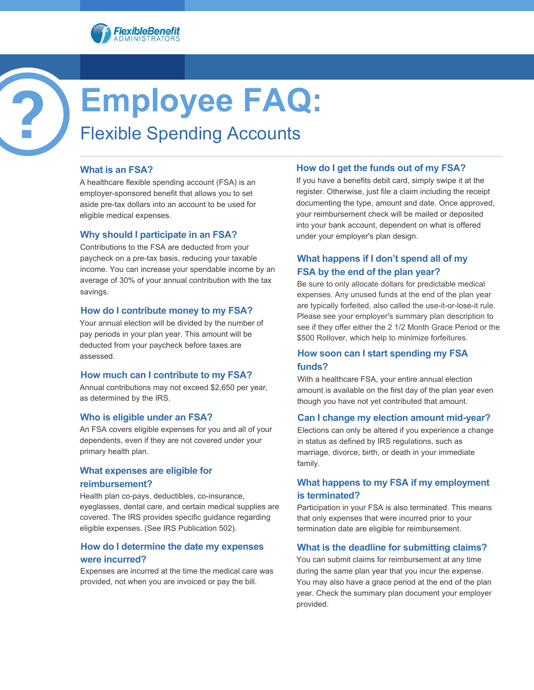



### **What is an FSA?**

A healthcare flexible spending account (FSA) is an employer-sponsored benefit that allows you to set aside pre-tax dollars into an account to be used for eligible medical expenses.

### **Why should I participate in an FSA?**

Contributions to the FSA are deducted from your paycheck on a pre-tax basis, reducing your taxable income. You can increase your spendable income by an average of 30% of your annual contribution with the tax savings.

#### **How do I contribute money to my FSA?**

Your annual election will be divided by the number of pay periods in your plan year. This amount will be deducted from your paycheck before taxes are assessed.

### **How much can I contribute to my FSA?**

Annual contributions may not exceed \$2,650 per year, as determined by the IRS.

### **Who is eligible under an FSA?**

An FSA covers eligible expenses for you and all of your dependents, even if they are not covered under your primary health plan.

#### **What expenses are eligible for**

### **reimbursement?**

Health plan co-pays, deductibles, co-insurance, eyeglasses, dental care, and certain medical supplies are covered. The IRS provides specific guidance regarding eligible expenses. (See IRS Publication 502).

## **How do I determine the date my expenses were incurred?**

Expenses are incurred at the time the medical care was provided, not when you are invoiced or pay the bill.

### **How do I get the funds out of my FSA?**

If you have a benefits debit card, simply swipe it at the register. Otherwise, just file a claim including the receipt documenting the type, amount and date. Once approved, your reimbursement check will be mailed or deposited into your bank account, dependent on what is offered under your employer's plan design.

# **What happens if I don't spend all of my FSA by the end of the plan year?**

Be sure to only allocate dollars for predictable medical expenses. Any unused funds at the end of the plan year are typically forfeited, also called the use-it-or-lose-it rule. Please see your employer's summary plan description to see if they offer either the 2 1/2 Month Grace Period or the \$500 Rollover, which help to minimize forfeitures.

# **How soon can I start spending my FSA funds?**

With a healthcare FSA, your entire annual election amount is available on the first day of the plan year even though you have not yet contributed that amount.

### **Can I change my election amount mid-year?**

Elections can only be altered if you experience a change in status as defined by IRS regulations, such as marriage, divorce, birth, or death in your immediate family.

## **What happens to my FSA if my employment is terminated?**

Participation in your FSA is also terminated. This means that only expenses that were incurred prior to your termination date are eligible for reimbursement.

### **What is the deadline for submitting claims?**

You can submit claims for reimbursement at any time during the same plan year that you incur the expense. You may also have a grace period at the end of the plan year. Check the summary plan document your employer provided.